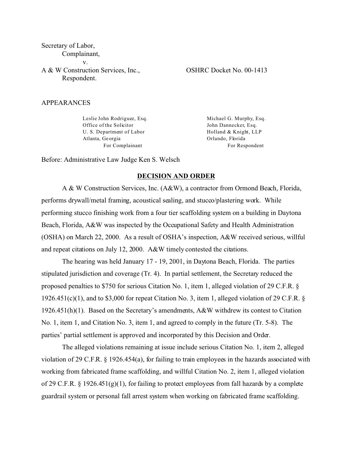Secretary of Labor, Complainant, v. A & W Construction Services, Inc., Respondent.

OSHRC Docket No. 00-1413

### APPEARANCES

Leslie John Rodriguez, Esq. Office of the Solicitor U. S. Department of Labor Atlanta, Ge orgia For Complainant

Michael G. Murphy, Esq. John Dannecker, Esq. Holland & Knight, LLP Orlando, Florida For Respondent

Before: Administrative Law Judge Ken S. Welsch

### **DECISION AND ORDER**

A & W Construction Services, Inc. (A&W), a contractor from Ormond Beach, Florida, performs drywall/metal framing, acoustical sealing, and stucco/plastering work. While performing stucco finishing work from a four tier scaffolding system on a building in Daytona Beach, Florida, A&W was inspected by the Occupational Safety and Health Administration (OSHA) on March 22, 2000. As a result of OSHA's inspection, A&W received serious, willful and repeat citations on July 12, 2000. A&W timely contested the citations.

The hearing was held January 17 - 19, 2001, in Daytona Beach, Florida. The parties stipulated jurisdiction and coverage (Tr. 4). In partial settlement, the Secretary reduced the proposed penalties to \$750 for serious Citation No. 1, item 1, alleged violation of 29 C.F.R. § 1926.451(c)(1), and to \$3,000 for repeat Citation No. 3, item 1, alleged violation of 29 C.F.R. § 1926.451(h)(1). Based on the Secretary's amendments, A&W withdrew its contest to Citation No. 1, item 1, and Citation No. 3, item 1, and agreed to comply in the future (Tr. 5-8). The parties' partial settlement is approved and incorporated by this Decision and Order.

The alleged violations remaining at issue include serious Citation No. 1, item 2, alleged violation of 29 C.F.R. § 1926.454(a), for failing to train employees in the hazards associated with working from fabricated frame scaffolding, and willful Citation No. 2, item 1, alleged violation of 29 C.F.R. § 1926.451(g)(1), for failing to protect employees from fall hazards by a complete guardrail system or personal fall arrest system when working on fabricated frame scaffolding.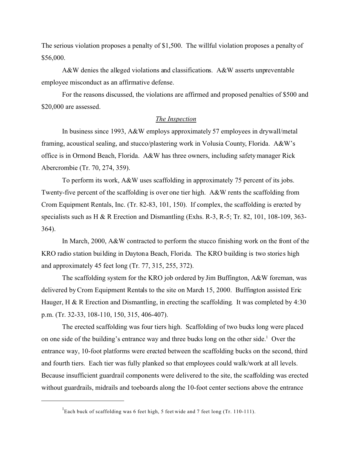The serious violation proposes a penalty of \$1,500. The willful violation proposes a penalty of \$56,000.

A&W denies the alleged violations and classifications. A&W asserts unpreventable employee misconduct as an affirmative defense.

For the reasons discussed, the violations are affirmed and proposed penalties of \$500 and \$20,000 are assessed.

### *The Inspection*

In business since 1993, A&W employs approximately 57 employees in drywall/metal framing, acoustical sealing, and stucco/plastering work in Volusia County, Florida. A&W's office is in Ormond Beach, Florida. A&W has three owners, including safety manager Rick Abercrombie (Tr. 70, 274, 359).

To perform its work, A&W uses scaffolding in approximately 75 percent of its jobs. Twenty-five percent of the scaffolding is over one tier high. A&W rents the scaffolding from Crom Equipment Rentals, Inc. (Tr. 82-83, 101, 150). If complex, the scaffolding is erected by specialists such as H & R Erection and Dismantling (Exhs. R-3, R-5; Tr. 82, 101, 108-109, 363- 364).

In March, 2000, A&W contracted to perform the stucco finishing work on the front of the KRO radio station building in Daytona Beach, Florida. The KRO building is two stories high and approximately 45 feet long (Tr. 77, 315, 255, 372).

The scaffolding system for the KRO job ordered by Jim Buffington, A&W foreman, was delivered by Crom Equipment Rentals to the site on March 15, 2000. Buffington assisted Eric Hauger, H & R Erection and Dismantling, in erecting the scaffolding. It was completed by 4:30 p.m. (Tr. 32-33, 108-110, 150, 315, 406-407).

The erected scaffolding was four tiers high. Scaffolding of two bucks long were placed on one side of the building's entrance way and three bucks long on the other side.<sup>1</sup> Over the entrance way, 10-foot platforms were erected between the scaffolding bucks on the second, third and fourth tiers. Each tier was fully planked so that employees could walk/work at all levels. Because insufficient guardrail components were delivered to the site, the scaffolding was erected without guardrails, midrails and toeboards along the 10-foot center sections above the entrance

<sup>&</sup>lt;sup>1</sup>Each buck of scaffolding was 6 feet high, 5 feet wide and 7 feet long (Tr. 110-111).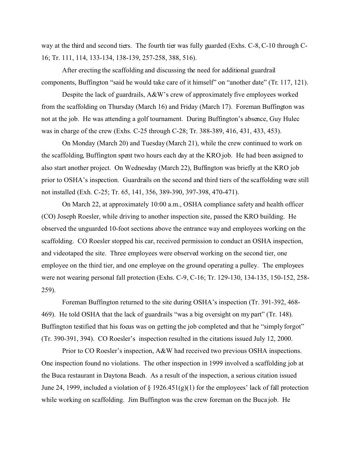way at the third and second tiers. The fourth tier was fully guarded (Exhs. C-8, C-10 through C-16; Tr. 111, 114, 133-134, 138-139, 257-258, 388, 516).

After erecting the scaffolding and discussing the need for additional guardrail components, Buffington "said he would take care of it himself" on "another date" (Tr. 117, 121).

Despite the lack of guardrails, A&W's crew of approximately five employees worked from the scaffolding on Thursday (March 16) and Friday (March 17). Foreman Buffington was not at the job. He was attending a golf tournament. During Buffington's absence, Guy Hulec was in charge of the crew (Exhs. C-25 through C-28; Tr. 388-389, 416, 431, 433, 453).

On Monday (March 20) and Tuesday (March 21), while the crew continued to work on the scaffolding, Buffington spent two hours each day at the KRO job. He had been assigned to also start another project. On Wednesday (March 22), Buffington was briefly at the KRO job prior to OSHA's inspection. Guardrails on the second and third tiers of the scaffolding were still not installed (Exh. C-25; Tr. 65, 141, 356, 389-390, 397-398, 470-471).

On March 22, at approximately 10:00 a.m., OSHA compliance safety and health officer (CO) Joseph Roesler, while driving to another inspection site, passed the KRO building. He observed the unguarded 10-foot sections above the entrance way and employees working on the scaffolding. CO Roesler stopped his car, received permission to conduct an OSHA inspection, and videotaped the site. Three employees were observed working on the second tier, one employee on the third tier, and one employee on the ground operating a pulley. The employees were not wearing personal fall protection (Exhs. C-9, C-16; Tr. 129-130, 134-135, 150-152, 258- 259).

Foreman Buffington returned to the site during OSHA's inspection (Tr. 391-392, 468- 469). He told OSHA that the lack of guardrails "was a big oversight on my part" (Tr. 148). Buffington testified that his focus was on getting the job completed and that he "simply forgot" (Tr. 390-391, 394). CO Roesler's inspection resulted in the citations issued July 12, 2000.

Prior to CO Roesler's inspection, A&W had received two previous OSHA inspections. One inspection found no violations. The other inspection in 1999 involved a scaffolding job at the Buca restaurant in Daytona Beach. As a result of the inspection, a serious citation issued June 24, 1999, included a violation of  $\S 1926.451(g)(1)$  for the employees' lack of fall protection while working on scaffolding. Jim Buffington was the crew foreman on the Buca job. He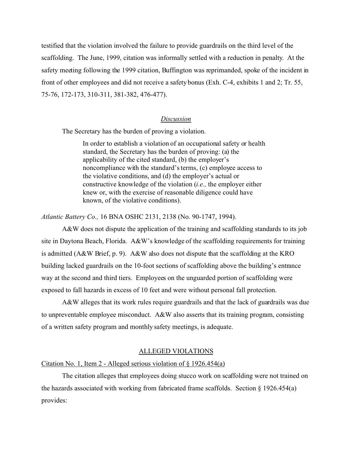testified that the violation involved the failure to provide guardrails on the third level of the scaffolding. The June, 1999, citation was informally settled with a reduction in penalty. At the safety meeting following the 1999 citation, Buffington was reprimanded, spoke of the incident in front of other employees and did not receive a safety bonus (Exh. C-4, exhibits 1 and 2; Tr. 55, 75-76, 172-173, 310-311, 381-382, 476-477).

### *Discussion*

The Secretary has the burden of proving a violation.

In order to establish a violation of an occupational safety or health standard, the Secretary has the burden of proving: (a) the applicability of the cited standard, (b) the employer's noncompliance with the standard's terms, (c) employee access to the violative conditions, and (d) the employer's actual or constructive knowledge of the violation (*i.e.,* the employer either knew or, with the exercise of reasonable diligence could have known, of the violative conditions).

*Atlantic Battery Co.,* 16 BNA OSHC 2131, 2138 (No. 90-1747, 1994).

A&W does not dispute the application of the training and scaffolding standards to its job site in Daytona Beach, Florida. A&W's knowledge of the scaffolding requirements for training is admitted (A&W Brief, p. 9). A&W also does not dispute that the scaffolding at the KRO building lacked guardrails on the 10-foot sections of scaffolding above the building's entrance way at the second and third tiers. Employees on the unguarded portion of scaffolding were exposed to fall hazards in excess of 10 feet and were without personal fall protection.

A&W alleges that its work rules require guardrails and that the lack of guardrails was due to unpreventable employee misconduct. A&W also asserts that its training program, consisting of a written safety program and monthly safety meetings, is adequate.

# ALLEGED VIOLATIONS

### Citation No. 1, Item 2 - Alleged serious violation of § 1926.454(a)

The citation alleges that employees doing stucco work on scaffolding were not trained on the hazards associated with working from fabricated frame scaffolds. Section § 1926.454(a) provides: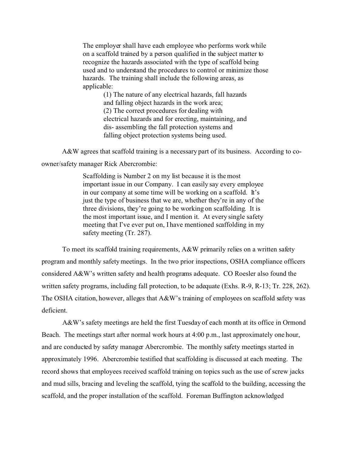The employer shall have each employee who performs work while on a scaffold trained by a person qualified in the subject matter to recognize the hazards associated with the type of scaffold being used and to understand the procedures to control or minimize those hazards. The training shall include the following areas, as applicable:

> (1) The nature of any electrical hazards, fall hazards and falling object hazards in the work area; (2) The correct procedures for dealing with electrical hazards and for erecting, maintaining, and dis- assembling the fall protection systems and falling object protection systems being used.

A&W agrees that scaffold training is a necessary part of its business. According to coowner/safety manager Rick Abercrombie:

> Scaffolding is Number 2 on my list because it is the most important issue in our Company. I can easily say every employee in our company at some time will be working on a scaffold. It's just the type of business that we are, whether they're in any of the three divisions, they're going to be working on scaffolding. It is the most important issue, and I mention it. At every single safety meeting that I've ever put on, I have mentioned scaffolding in my safety meeting (Tr. 287).

To meet its scaffold training requirements, A&W primarily relies on a written safety program and monthly safety meetings. In the two prior inspections, OSHA compliance officers considered A&W's written safety and health programs adequate. CO Roesler also found the written safety programs, including fall protection, to be adequate (Exhs. R-9, R-13; Tr. 228, 262). The OSHA citation, however, alleges that A&W's training of employees on scaffold safety was deficient.

A&W's safety meetings are held the first Tuesday of each month at its office in Ormond Beach. The meetings start after normal work hours at 4:00 p.m., last approximately one hour, and are conducted by safety manager Abercrombie. The monthly safety meetings started in approximately 1996. Abercrombie testified that scaffolding is discussed at each meeting. The record shows that employees received scaffold training on topics such as the use of screw jacks and mud sills, bracing and leveling the scaffold, tying the scaffold to the building, accessing the scaffold, and the proper installation of the scaffold. Foreman Buffington acknowledged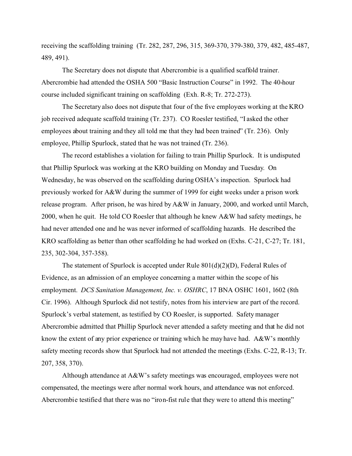receiving the scaffolding training (Tr. 282, 287, 296, 315, 369-370, 379-380, 379, 482, 485-487, 489, 491).

The Secretary does not dispute that Abercrombie is a qualified scaffold trainer. Abercrombie had attended the OSHA 500 "Basic Instruction Course" in 1992. The 40-hour course included significant training on scaffolding (Exh. R-8; Tr. 272-273).

The Secretary also does not dispute that four of the five employees working at the KRO job received adequate scaffold training (Tr. 237). CO Roesler testified, "I asked the other employees about training and they all told me that they had been trained" (Tr. 236). Only employee, Phillip Spurlock, stated that he was not trained (Tr. 236).

The record establishes a violation for failing to train Phillip Spurlock. It is undisputed that Phillip Spurlock was working at the KRO building on Monday and Tuesday. On Wednesday, he was observed on the scaffolding during OSHA's inspection. Spurlock had previously worked for A&W during the summer of 1999 for eight weeks under a prison work release program. After prison, he was hired by A&W in January, 2000, and worked until March, 2000, when he quit. He told CO Roesler that although he knew A&W had safety meetings, he had never attended one and he was never informed of scaffolding hazards. He described the KRO scaffolding as better than other scaffolding he had worked on (Exhs. C-21, C-27; Tr. 181, 235, 302-304, 357-358).

The statement of Spurlock is accepted under Rule 801(d)(2)(D), Federal Rules of Evidence, as an admission of an employee concerning a matter within the scope of his employment. *DCS Sanitation Management, Inc. v. OSHRC*, 17 BNA OSHC 1601, 1602 (8th Cir. 1996). Although Spurlock did not testify, notes from his interview are part of the record. Spurlock's verbal statement, as testified by CO Roesler, is supported. Safety manager Abercrombie admitted that Phillip Spurlock never attended a safety meeting and that he did not know the extent of any prior experience or training which he may have had. A&W's monthly safety meeting records show that Spurlock had not attended the meetings (Exhs. C-22, R-13; Tr. 207, 358, 370).

Although attendance at A&W's safety meetings was encouraged, employees were not compensated, the meetings were after normal work hours, and attendance was not enforced. Abercrombie testified that there was no "iron-fist rule that they were to attend this meeting"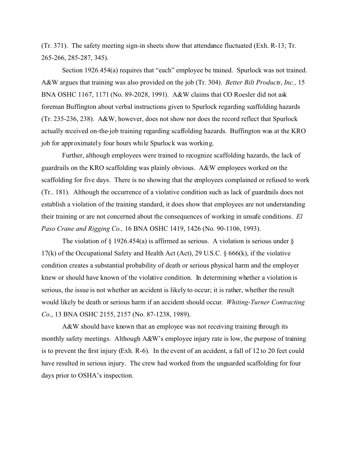(Tr. 371). The safety meeting sign-in sheets show that attendance fluctuated (Exh. R-13; Tr. 265-266, 285-287, 345).

Section 1926.454(a) requires that "each" employee be trained. Spurlock was not trained. A&W argues that training was also provided on the job (Tr. 304). *Better Bilt Products*, *Inc.,* 15 BNA OSHC 1167, 1171 (No. 89-2028, 1991). A&W claims that CO Roesler did not ask foreman Buffington about verbal instructions given to Spurlock regarding scaffolding hazards (Tr. 235-236, 238). A&W, however, does not show nor does the record reflect that Spurlock actually received on-the-job training regarding scaffolding hazards. Buffington was at the KRO job for approximately four hours while Spurlock was working.

Further, although employees were trained to recognize scaffolding hazards, the lack of guardrails on the KRO scaffolding was plainly obvious. A&W employees worked on the scaffolding for five days. There is no showing that the employees complained or refused to work (Tr.. 181). Although the occurrence of a violative condition such as lack of guardrails does not establish a violation of the training standard, it does show that employees are not understanding their training or are not concerned about the consequences of working in unsafe conditions. *El Paso Crane and Rigging Co.,* 16 BNA OSHC 1419, 1426 (No. 90-1106, 1993).

The violation of  $\S$  1926.454(a) is affirmed as serious. A violation is serious under  $\S$ 17(k) of the Occupational Safety and Health Act (Act), 29 U.S.C. § 666(k), if the violative condition creates a substantial probability of death or serious physical harm and the employer knew or should have known of the violative condition. In determining whether a violation is serious, the issue is not whether an accident is likely to occur; it is rather, whether the result would likely be death or serious harm if an accident should occur. *Whiting-Turner Contracting Co*., 13 BNA OSHC 2155, 2157 (No. 87-1238, 1989).

A&W should have known that an employee was not receiving training through its monthly safety meetings. Although A&W's employee injury rate is low, the purpose of training is to prevent the first injury (Exh. R-6). In the event of an accident, a fall of 12 to 20 feet could have resulted in serious injury. The crew had worked from the unguarded scaffolding for four days prior to OSHA's inspection.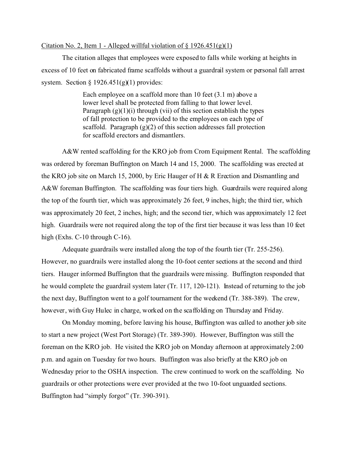## Citation No. 2, Item 1 - Alleged will ful violation of  $\S$  1926.451(g)(1)

The citation alleges that employees were exposed to falls while working at heights in excess of 10 feet on fabricated frame scaffolds without a guardrail system or personal fall arrest system. Section  $\S 1926.451(g)(1)$  provides:

> Each employee on a scaffold more than 10 feet (3.1 m) above a lower level shall be protected from falling to that lower level. Paragraph  $(g)(1)(i)$  through (vii) of this section establish the types of fall protection to be provided to the employees on each type of scaffold. Paragraph  $(g)(2)$  of this section addresses fall protection for scaffold erectors and dismantlers.

A&W rented scaffolding for the KRO job from Crom Equipment Rental. The scaffolding was ordered by foreman Buffington on March 14 and 15, 2000. The scaffolding was erected at the KRO job site on March 15, 2000, by Eric Hauger of H & R Erection and Dismantling and A&W foreman Buffington. The scaffolding was four tiers high. Guardrails were required along the top of the fourth tier, which was approximately 26 feet, 9 inches, high; the third tier, which was approximately 20 feet, 2 inches, high; and the second tier, which was approximately 12 feet high. Guardrails were not required along the top of the first tier because it was less than 10 feet high (Exhs. C-10 through C-16).

Adequate guardrails were installed along the top of the fourth tier (Tr. 255-256). However, no guardrails were installed along the 10-foot center sections at the second and third tiers. Hauger informed Buffington that the guardrails were missing. Buffington responded that he would complete the guardrail system later (Tr. 117, 120-121). Instead of returning to the job the next day, Buffington went to a golf tournament for the weekend (Tr. 388-389). The crew, however, with Guy Hulec in charge, worked on the scaffolding on Thursday and Friday.

On Monday morning, before leaving his house, Buffington was called to another job site to start a new project (West Port Storage) (Tr. 389-390). However, Buffington was still the foreman on the KRO job. He visited the KRO job on Monday afternoon at approximately 2:00 p.m. and again on Tuesday for two hours. Buffington was also briefly at the KRO job on Wednesday prior to the OSHA inspection. The crew continued to work on the scaffolding. No guardrails or other protections were ever provided at the two 10-foot unguarded sections. Buffington had "simply forgot" (Tr. 390-391).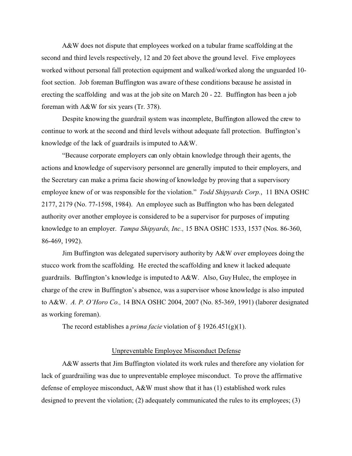A&W does not dispute that employees worked on a tubular frame scaffolding at the second and third levels respectively, 12 and 20 feet above the ground level. Five employees worked without personal fall protection equipment and walked/worked along the unguarded 10 foot section. Job foreman Buffington was aware of these conditions because he assisted in erecting the scaffolding and was at the job site on March 20 - 22. Buffington has been a job foreman with A&W for six years (Tr. 378).

Despite knowing the guardrail system was incomplete, Buffington allowed the crew to continue to work at the second and third levels without adequate fall protection. Buffington's knowledge of the lack of guardrails is imputed to A&W.

"Because corporate employers can only obtain knowledge through their agents, the actions and knowledge of supervisory personnel are generally imputed to their employers, and the Secretary can make a prima facie showing of knowledge by proving that a supervisory employee knew of or was responsible for the violation." *Todd Shipyards Corp.*, 11 BNA OSHC 2177, 2179 (No. 77-1598, 1984). An employee such as Buffington who has been delegated authority over another employee is considered to be a supervisor for purposes of imputing knowledge to an employer. *Tampa Shipyards, Inc.,* 15 BNA OSHC 1533, 1537 (Nos. 86-360, 86-469, 1992).

Jim Buffington was delegated supervisory authority by A&W over employees doing the stucco work from the scaffolding. He erected the scaffolding and knew it lacked adequate guardrails. Buffington's knowledge is imputed to A&W. Also, Guy Hulec, the employee in charge of the crew in Buffington's absence, was a supervisor whose knowledge is also imputed to A&W. *A. P. O'Horo Co.,* 14 BNA OSHC 2004, 2007 (No. 85-369, 1991) (laborer designated as working foreman).

The record establishes a *prima facie* violation of § 1926.451(g)(1).

# Unpreventable Employee Misconduct Defense

A&W asserts that Jim Buffington violated its work rules and therefore any violation for lack of guardrailing was due to unpreventable employee misconduct. To prove the affirmative defense of employee misconduct, A&W must show that it has (1) established work rules designed to prevent the violation; (2) adequately communicated the rules to its employees; (3)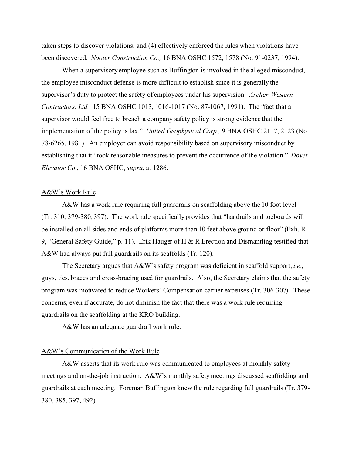taken steps to discover violations; and (4) effectively enforced the rules when violations have been discovered. *Nooter Construction Co.,* 16 BNA OSHC 1572, 1578 (No. 91-0237, 1994).

When a supervisory employee such as Buffington is involved in the alleged misconduct, the employee misconduct defense is more difficult to establish since it is generally the supervisor's duty to protect the safety of employees under his supervision. *Archer-Western Contractors, Ltd.*, 15 BNA OSHC 1013, 1016-1017 (No. 87-1067, 1991). The "fact that a supervisor would feel free to breach a company safety policy is strong evidence that the implementation of the policy is lax." *United Geophysical Corp.,* 9 BNA OSHC 2117, 2123 (No. 78-6265, 1981). An employer can avoid responsibility based on supervisory misconduct by establishing that it "took reasonable measures to prevent the occurrence of the violation." *Dover Elevator Co*., 16 BNA OSHC, *supra*, at 1286.

#### A&W's Work Rule

A&W has a work rule requiring full guardrails on scaffolding above the 10 foot level (Tr. 310, 379-380, 397). The work rule specifically provides that "handrails and toeboards will be installed on all sides and ends of platforms more than 10 feet above ground or floor" (Exh. R-9, "General Safety Guide," p. 11). Erik Hauger of H & R Erection and Dismantling testified that A&W had always put full guardrails on its scaffolds (Tr. 120).

The Secretary argues that A&W's safety program was deficient in scaffold support, *i.e*., guys, ties, braces and cross-bracing used for guardrails. Also, the Secretary claims that the safety program was motivated to reduce Workers' Compensation carrier expenses (Tr. 306-307). These concerns, even if accurate, do not diminish the fact that there was a work rule requiring guardrails on the scaffolding at the KRO building.

A&W has an adequate guardrail work rule.

# A&W's Communication of the Work Rule

A&W asserts that its work rule was communicated to employees at monthly safety meetings and on-the-job instruction. A&W's monthly safety meetings discussed scaffolding and guardrails at each meeting. Foreman Buffington knew the rule regarding full guardrails (Tr. 379- 380, 385, 397, 492).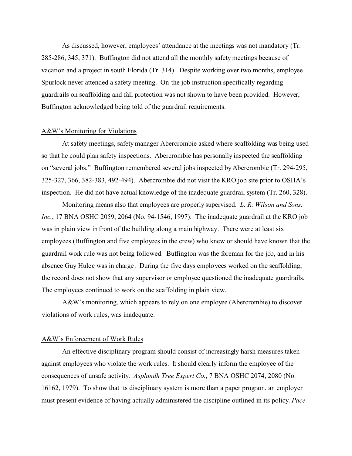As discussed, however, employees' attendance at the meetings was not mandatory (Tr. 285-286, 345, 371). Buffington did not attend all the monthly safety meetings because of vacation and a project in south Florida (Tr. 314). Despite working over two months, employee Spurlock never attended a safety meeting. On-the-job instruction specifically regarding guardrails on scaffolding and fall protection was not shown to have been provided. However, Buffington acknowledged being told of the guardrail requirements.

### A&W's Monitoring for Violations

At safety meetings, safety manager Abercrombie asked where scaffolding was being used so that he could plan safety inspections. Abercrombie has personally inspected the scaffolding on "several jobs." Buffington remembered several jobs inspected by Abercrombie (Tr. 294-295, 325-327, 366, 382-383, 492-494). Abercrombie did not visit the KRO job site prior to OSHA's inspection. He did not have actual knowledge of the inadequate guardrail system (Tr. 260, 328).

Monitoring means also that employees are properly supervised. *L. R. Wilson and Sons, Inc.*, 17 BNA OSHC 2059, 2064 (No. 94-1546, 1997). The inadequate guardrail at the KRO job was in plain view in front of the building along a main highway. There were at least six employees (Buffington and five employees in the crew) who knew or should have known that the guardrail work rule was not being followed. Buffington was the foreman for the job, and in his absence Guy Hulec was in charge. During the five days employees worked on the scaffolding, the record does not show that any supervisor or employee questioned the inadequate guardrails. The employees continued to work on the scaffolding in plain view.

A&W's monitoring, which appears to rely on one employee (Abercrombie) to discover violations of work rules, was inadequate.

# A&W's Enforcement of Work Rules

An effective disciplinary program should consist of increasingly harsh measures taken against employees who violate the work rules. It should clearly inform the employee of the consequences of unsafe activity. *Asplundh Tree Expert Co.*, 7 BNA OSHC 2074, 2080 (No. 16162, 1979). To show that its disciplinary system is more than a paper program, an employer must present evidence of having actually administered the discipline outlined in its policy. *Pace*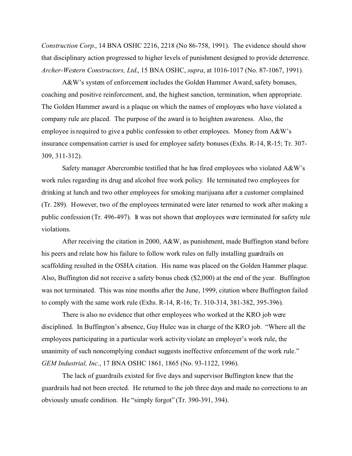*Construction Corp*., 14 BNA OSHC 2216, 2218 (No 86-758, 1991). The evidence should show that disciplinary action progressed to higher levels of punishment designed to provide deterrence. *Archer-Western Constructors, Ltd*., 15 BNA OSHC, *supra*, at 1016-1017 (No. 87-1067, 1991).

A&W's system of enforcement includes the Golden Hammer Award, safety bonuses, coaching and positive reinforcement, and, the highest sanction, termination, when appropriate. The Golden Hammer award is a plaque on which the names of employees who have violated a company rule are placed. The purpose of the award is to heighten awareness. Also, the employee is required to give a public confession to other employees. Money from A&W's insurance compensation carrier is used for employee safety bonuses (Exhs. R-14, R-15; Tr. 307- 309, 311-312).

Safety manager Abercrombie testified that he has fired employees who violated A&W's work rules regarding its drug and alcohol free work policy. He terminated two employees for drinking at lunch and two other employees for smoking marijuana after a customer complained (Tr. 289). However, two of the employees terminated were later returned to work after making a public confession (Tr. 496-497). It was not shown that employees were terminated for safety rule violations.

After receiving the citation in 2000, A&W, as punishment, made Buffington stand before his peers and relate how his failure to follow work rules on fully installing guardrails on scaffolding resulted in the OSHA citation. His name was placed on the Golden Hammer plaque. Also, Buffington did not receive a safety bonus check (\$2,000) at the end of the year. Buffington was not terminated. This was nine months after the June, 1999, citation where Buffington failed to comply with the same work rule (Exhs. R-14, R-16; Tr. 310-314, 381-382, 395-396).

There is also no evidence that other employees who worked at the KRO job were disciplined. In Buffington's absence, Guy Hulec was in charge of the KRO job. "Where all the employees participating in a particular work activity violate an employer's work rule, the unanimity of such noncomplying conduct suggests ineffective enforcement of the work rule." *GEM Industrial, Inc.*, 17 BNA OSHC 1861, 1865 (No. 93-1122, 1996).

The lack of guardrails existed for five days and supervisor Buffington knew that the guardrails had not been erected. He returned to the job three days and made no corrections to an obviously unsafe condition. He "simply forgot" (Tr. 390-391, 394).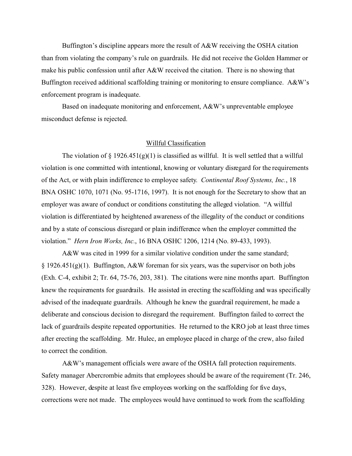Buffington's discipline appears more the result of A&W receiving the OSHA citation than from violating the company's rule on guardrails. He did not receive the Golden Hammer or make his public confession until after A&W received the citation. There is no showing that Buffington received additional scaffolding training or monitoring to ensure compliance. A&W's enforcement program is inadequate.

Based on inadequate monitoring and enforcement, A&W's unpreventable employee misconduct defense is rejected.

### Willful Classification

The violation of  $\S 1926.451(g)(1)$  is classified as willful. It is well settled that a willful violation is one committed with intentional, knowing or voluntary disregard for the requirements of the Act, or with plain indifference to employee safety. *Continental Roof Systems, Inc.*, 18 BNA OSHC 1070, 1071 (No. 95-1716, 1997). It is not enough for the Secretary to show that an employer was aware of conduct or conditions constituting the alleged violation. "A willful violation is differentiated by heightened awareness of the illegality of the conduct or conditions and by a state of conscious disregard or plain indifference when the employer committed the violation." *Hern Iron Works, Inc.*, 16 BNA OSHC 1206, 1214 (No. 89-433, 1993).

A&W was cited in 1999 for a similar violative condition under the same standard; § 1926.451(g)(1). Buffington, A&W foreman for six years, was the supervisor on both jobs (Exh. C-4, exhibit 2; Tr. 64, 75-76, 203, 381). The citations were nine months apart. Buffington knew the requirements for guardrails. He assisted in erecting the scaffolding and was specifically advised of the inadequate guardrails. Although he knew the guardrail requirement, he made a deliberate and conscious decision to disregard the requirement. Buffington failed to correct the lack of guardrails despite repeated opportunities. He returned to the KRO job at least three times after erecting the scaffolding. Mr. Hulec, an employee placed in charge of the crew, also failed to correct the condition.

A&W's management officials were aware of the OSHA fall protection requirements. Safety manager Abercrombie admits that employees should be aware of the requirement (Tr. 246, 328). However, despite at least five employees working on the scaffolding for five days, corrections were not made. The employees would have continued to work from the scaffolding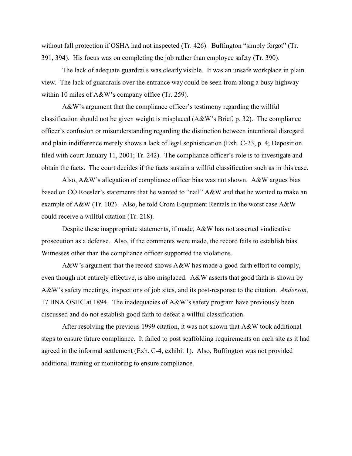without fall protection if OSHA had not inspected (Tr. 426). Buffington "simply forgot" (Tr. 391, 394). His focus was on completing the job rather than employee safety (Tr. 390).

The lack of adequate guardrails was clearly visible. It was an unsafe workplace in plain view. The lack of guardrails over the entrance way could be seen from along a busy highway within 10 miles of A&W's company office (Tr. 259).

A&W's argument that the compliance officer's testimony regarding the willful classification should not be given weight is misplaced (A&W's Brief, p. 32). The compliance officer's confusion or misunderstanding regarding the distinction between intentional disregard and plain indifference merely shows a lack of legal sophistication (Exh. C-23, p. 4; Deposition filed with court January 11, 2001; Tr. 242). The compliance officer's role is to investigate and obtain the facts. The court decides if the facts sustain a willful classification such as in this case.

Also, A&W's allegation of compliance officer bias was not shown. A&W argues bias based on CO Roesler's statements that he wanted to "nail" A&W and that he wanted to make an example of A&W (Tr. 102). Also, he told Crom Equipment Rentals in the worst case A&W could receive a willful citation (Tr. 218).

Despite these inappropriate statements, if made, A&W has not asserted vindicative prosecution as a defense. Also, if the comments were made, the record fails to establish bias. Witnesses other than the compliance officer supported the violations.

A&W's argument that the record shows A&W has made a good faith effort to comply, even though not entirely effective, is also misplaced. A&W asserts that good faith is shown by A&W's safety meetings, inspections of job sites, and its post-response to the citation. *Anderson*, 17 BNA OSHC at 1894. The inadequacies of A&W's safety program have previously been discussed and do not establish good faith to defeat a willful classification.

After resolving the previous 1999 citation, it was not shown that A&W took additional steps to ensure future compliance. It failed to post scaffolding requirements on each site as it had agreed in the informal settlement (Exh. C-4, exhibit 1). Also, Buffington was not provided additional training or monitoring to ensure compliance.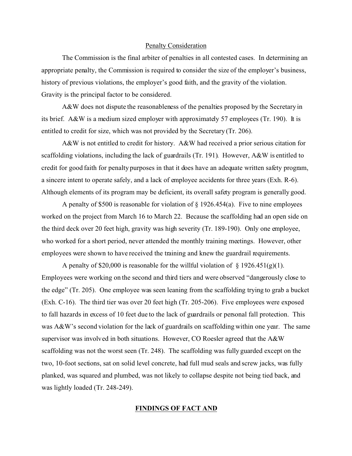#### Penalty Consideration

The Commission is the final arbiter of penalties in all contested cases. In determining an appropriate penalty, the Commission is required to consider the size of the employer's business, history of previous violations, the employer's good faith, and the gravity of the violation. Gravity is the principal factor to be considered.

A&W does not dispute the reasonableness of the penalties proposed by the Secretary in its brief. A&W is a medium sized employer with approximately 57 employees (Tr. 190). It is entitled to credit for size, which was not provided by the Secretary (Tr. 206).

A&W is not entitled to credit for history. A&W had received a prior serious citation for scaffolding violations, including the lack of guardrails (Tr. 191). However, A&W is entitled to credit for good faith for penalty purposes in that it does have an adequate written safety program, a sincere intent to operate safely, and a lack of employee accidents for three years (Exh. R-6). Although elements of its program may be deficient, its overall safety program is generally good.

A penalty of \$500 is reasonable for violation of § 1926.454(a). Five to nine employees worked on the project from March 16 to March 22. Because the scaffolding had an open side on the third deck over 20 feet high, gravity was high severity (Tr. 189-190). Only one employee, who worked for a short period, never attended the monthly training meetings. However, other employees were shown to have received the training and knew the guardrail requirements.

A penalty of \$20,000 is reasonable for the willful violation of  $\S 1926.451(g)(1)$ . Employees were working on the second and third tiers and were observed "dangerously close to the edge" (Tr. 205). One employee was seen leaning from the scaffolding trying to grab a bucket (Exh. C-16). The third tier was over 20 feet high (Tr. 205-206). Five employees were exposed to fall hazards in excess of 10 feet due to the lack of guardrails or personal fall protection. This was A&W's second violation for the lack of guardrails on scaffolding within one year. The same supervisor was involved in both situations. However, CO Roesler agreed that the A&W scaffolding was not the worst seen (Tr. 248). The scaffolding was fully guarded except on the two, 10-foot sections, sat on solid level concrete, had full mud seals and screw jacks, was fully planked, was squared and plumbed, was not likely to collapse despite not being tied back, and was lightly loaded (Tr. 248-249).

# **FINDINGS OF FACT AND**